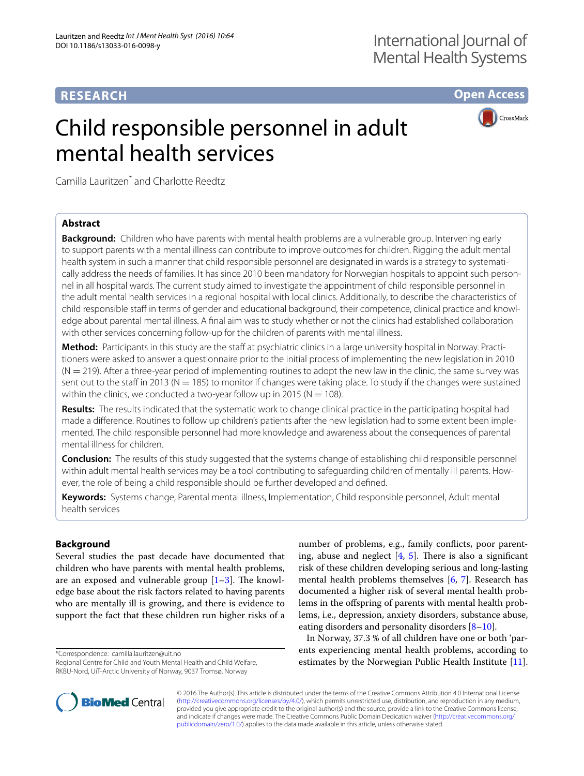# **RESEARCH**

**Open Access**

# Child responsible personnel in adult mental health services



Camilla Lauritzen<sup>\*</sup> and Charlotte Reedtz

# **Abstract**

**Background:** Children who have parents with mental health problems are a vulnerable group. Intervening early to support parents with a mental illness can contribute to improve outcomes for children. Rigging the adult mental health system in such a manner that child responsible personnel are designated in wards is a strategy to systematically address the needs of families. It has since 2010 been mandatory for Norwegian hospitals to appoint such personnel in all hospital wards. The current study aimed to investigate the appointment of child responsible personnel in the adult mental health services in a regional hospital with local clinics. Additionally, to describe the characteristics of child responsible staff in terms of gender and educational background, their competence, clinical practice and knowledge about parental mental illness. A final aim was to study whether or not the clinics had established collaboration with other services concerning follow-up for the children of parents with mental illness.

**Method:** Participants in this study are the staff at psychiatric clinics in a large university hospital in Norway. Practitioners were asked to answer a questionnaire prior to the initial process of implementing the new legislation in 2010  $(N = 219)$ . After a three-year period of implementing routines to adopt the new law in the clinic, the same survey was sent out to the staff in 2013 ( $N = 185$ ) to monitor if changes were taking place. To study if the changes were sustained within the clinics, we conducted a two-year follow up in 2015 ( $N = 108$ ).

**Results:** The results indicated that the systematic work to change clinical practice in the participating hospital had made a difference. Routines to follow up children's patients after the new legislation had to some extent been implemented. The child responsible personnel had more knowledge and awareness about the consequences of parental mental illness for children.

**Conclusion:** The results of this study suggested that the systems change of establishing child responsible personnel within adult mental health services may be a tool contributing to safeguarding children of mentally ill parents. However, the role of being a child responsible should be further developed and defined.

**Keywords:** Systems change, Parental mental illness, Implementation, Child responsible personnel, Adult mental health services

# **Background**

Several studies the past decade have documented that children who have parents with mental health problems, are an exposed and vulnerable group  $[1-3]$  $[1-3]$ . The knowledge base about the risk factors related to having parents who are mentally ill is growing, and there is evidence to support the fact that these children run higher risks of a

\*Correspondence: camilla.lauritzen@uit.no

Regional Centre for Child and Youth Mental Health and Child Welfare, RKBU-Nord, UiT-Arctic University of Norway, 9037 Tromsø, Norway

number of problems, e.g., family conflicts, poor parenting, abuse and neglect [\[4,](#page-8-2) [5\]](#page-8-3). There is also a significant risk of these children developing serious and long-lasting mental health problems themselves [[6](#page-8-4), [7](#page-8-5)]. Research has documented a higher risk of several mental health problems in the offspring of parents with mental health problems, i.e., depression, anxiety disorders, substance abuse, eating disorders and personality disorders [[8–](#page-8-6)[10\]](#page-8-7).

In Norway, 37.3 % of all children have one or both 'parents experiencing mental health problems, according to estimates by the Norwegian Public Health Institute [\[11](#page-8-8)].



© 2016 The Author(s). This article is distributed under the terms of the Creative Commons Attribution 4.0 International License [\(http://creativecommons.org/licenses/by/4.0/\)](http://creativecommons.org/licenses/by/4.0/), which permits unrestricted use, distribution, and reproduction in any medium, provided you give appropriate credit to the original author(s) and the source, provide a link to the Creative Commons license, and indicate if changes were made. The Creative Commons Public Domain Dedication waiver ([http://creativecommons.org/](http://creativecommons.org/publicdomain/zero/1.0/) [publicdomain/zero/1.0/](http://creativecommons.org/publicdomain/zero/1.0/)) applies to the data made available in this article, unless otherwise stated.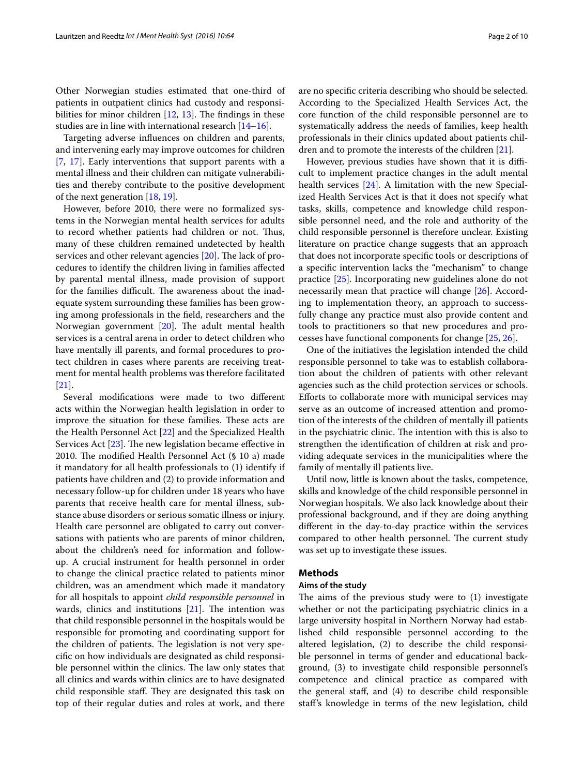Other Norwegian studies estimated that one-third of patients in outpatient clinics had custody and responsi-bilities for minor children [\[12](#page-8-9), [13](#page-8-10)]. The findings in these studies are in line with international research [[14–](#page-8-11)[16\]](#page-8-12).

Targeting adverse influences on children and parents, and intervening early may improve outcomes for children [[7,](#page-8-5) [17\]](#page-8-13). Early interventions that support parents with a mental illness and their children can mitigate vulnerabilities and thereby contribute to the positive development of the next generation [[18,](#page-8-14) [19\]](#page-8-15).

However, before 2010, there were no formalized systems in the Norwegian mental health services for adults to record whether patients had children or not. Thus, many of these children remained undetected by health services and other relevant agencies [\[20](#page-8-16)]. The lack of procedures to identify the children living in families affected by parental mental illness, made provision of support for the families difficult. The awareness about the inadequate system surrounding these families has been growing among professionals in the field, researchers and the Norwegian government [[20\]](#page-8-16). The adult mental health services is a central arena in order to detect children who have mentally ill parents, and formal procedures to protect children in cases where parents are receiving treatment for mental health problems was therefore facilitated [[21\]](#page-8-17).

Several modifications were made to two different acts within the Norwegian health legislation in order to improve the situation for these families. These acts are the Health Personnel Act [[22](#page-8-18)] and the Specialized Health Services Act [[23\]](#page-8-19). The new legislation became effective in 2010. The modified Health Personnel Act (§ 10 a) made it mandatory for all health professionals to (1) identify if patients have children and (2) to provide information and necessary follow-up for children under 18 years who have parents that receive health care for mental illness, substance abuse disorders or serious somatic illness or injury. Health care personnel are obligated to carry out conversations with patients who are parents of minor children, about the children's need for information and followup. A crucial instrument for health personnel in order to change the clinical practice related to patients minor children, was an amendment which made it mandatory for all hospitals to appoint *child responsible personnel* in wards, clinics and institutions [\[21\]](#page-8-17). The intention was that child responsible personnel in the hospitals would be responsible for promoting and coordinating support for the children of patients. The legislation is not very specific on how individuals are designated as child responsible personnel within the clinics. The law only states that all clinics and wards within clinics are to have designated child responsible staff. They are designated this task on top of their regular duties and roles at work, and there are no specific criteria describing who should be selected. According to the Specialized Health Services Act, the core function of the child responsible personnel are to systematically address the needs of families, keep health professionals in their clinics updated about patients children and to promote the interests of the children [\[21\]](#page-8-17).

However, previous studies have shown that it is difficult to implement practice changes in the adult mental health services [\[24\]](#page-8-20). A limitation with the new Specialized Health Services Act is that it does not specify what tasks, skills, competence and knowledge child responsible personnel need, and the role and authority of the child responsible personnel is therefore unclear. Existing literature on practice change suggests that an approach that does not incorporate specific tools or descriptions of a specific intervention lacks the "mechanism" to change practice [[25](#page-9-0)]. Incorporating new guidelines alone do not necessarily mean that practice will change [[26\]](#page-9-1). According to implementation theory, an approach to successfully change any practice must also provide content and tools to practitioners so that new procedures and processes have functional components for change [\[25](#page-9-0), [26\]](#page-9-1).

One of the initiatives the legislation intended the child responsible personnel to take was to establish collaboration about the children of patients with other relevant agencies such as the child protection services or schools. Efforts to collaborate more with municipal services may serve as an outcome of increased attention and promotion of the interests of the children of mentally ill patients in the psychiatric clinic. The intention with this is also to strengthen the identification of children at risk and providing adequate services in the municipalities where the family of mentally ill patients live.

Until now, little is known about the tasks, competence, skills and knowledge of the child responsible personnel in Norwegian hospitals. We also lack knowledge about their professional background, and if they are doing anything different in the day-to-day practice within the services compared to other health personnel. The current study was set up to investigate these issues.

#### **Methods**

# **Aims of the study**

The aims of the previous study were to (1) investigate whether or not the participating psychiatric clinics in a large university hospital in Northern Norway had established child responsible personnel according to the altered legislation, (2) to describe the child responsible personnel in terms of gender and educational background, (3) to investigate child responsible personnel's competence and clinical practice as compared with the general staff, and (4) to describe child responsible staff's knowledge in terms of the new legislation, child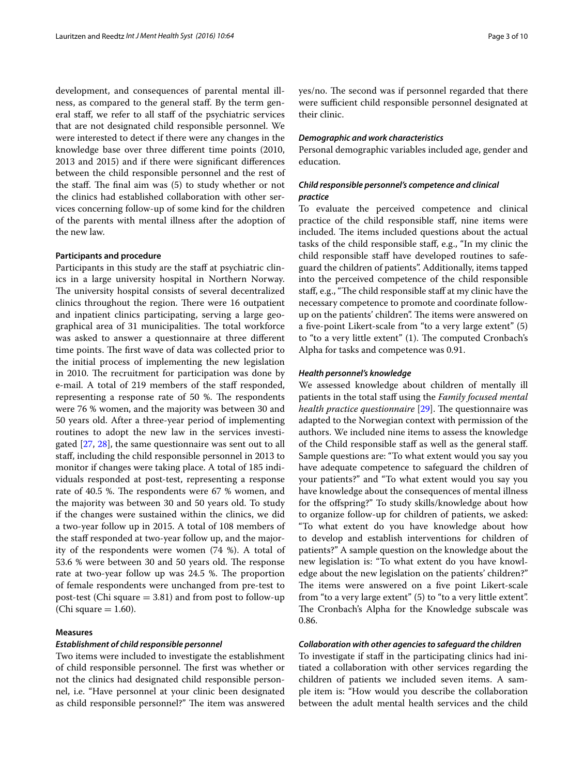development, and consequences of parental mental illness, as compared to the general staff. By the term general staff, we refer to all staff of the psychiatric services that are not designated child responsible personnel. We were interested to detect if there were any changes in the knowledge base over three different time points (2010, 2013 and 2015) and if there were significant differences between the child responsible personnel and the rest of the staff. The final aim was (5) to study whether or not the clinics had established collaboration with other services concerning follow-up of some kind for the children of the parents with mental illness after the adoption of the new law.

## **Participants and procedure**

Participants in this study are the staff at psychiatric clinics in a large university hospital in Northern Norway. The university hospital consists of several decentralized clinics throughout the region. There were 16 outpatient and inpatient clinics participating, serving a large geographical area of 31 municipalities. The total workforce was asked to answer a questionnaire at three different time points. The first wave of data was collected prior to the initial process of implementing the new legislation in 2010. The recruitment for participation was done by e-mail. A total of 219 members of the staff responded, representing a response rate of 50 %. The respondents were 76 % women, and the majority was between 30 and 50 years old. After a three-year period of implementing routines to adopt the new law in the services investigated [[27,](#page-9-2) [28](#page-9-3)], the same questionnaire was sent out to all staff, including the child responsible personnel in 2013 to monitor if changes were taking place. A total of 185 individuals responded at post-test, representing a response rate of 40.5 %. The respondents were 67 % women, and the majority was between 30 and 50 years old. To study if the changes were sustained within the clinics, we did a two-year follow up in 2015. A total of 108 members of the staff responded at two-year follow up, and the majority of the respondents were women (74 %). A total of 53.6 % were between 30 and 50 years old. The response rate at two-year follow up was 24.5 %. The proportion of female respondents were unchanged from pre-test to post-test (Chi square  $= 3.81$ ) and from post to follow-up (Chi square  $= 1.60$ ).

#### **Measures**

#### *Establishment of child responsible personnel*

Two items were included to investigate the establishment of child responsible personnel. The first was whether or not the clinics had designated child responsible personnel, i.e. "Have personnel at your clinic been designated as child responsible personnel?" The item was answered yes/no. The second was if personnel regarded that there were sufficient child responsible personnel designated at their clinic.

## *Demographic and work characteristics*

Personal demographic variables included age, gender and education.

# *Child responsible personnel's competence and clinical practice*

To evaluate the perceived competence and clinical practice of the child responsible staff, nine items were included. The items included questions about the actual tasks of the child responsible staff, e.g., "In my clinic the child responsible staff have developed routines to safeguard the children of patients". Additionally, items tapped into the perceived competence of the child responsible staff, e.g., "The child responsible staff at my clinic have the necessary competence to promote and coordinate followup on the patients' children". The items were answered on a five-point Likert-scale from "to a very large extent" (5) to "to a very little extent" (1). The computed Cronbach's Alpha for tasks and competence was 0.91.

## *Health personnel's knowledge*

We assessed knowledge about children of mentally ill patients in the total staff using the *Family focused mental health practice questionnaire* [[29\]](#page-9-4). The questionnaire was adapted to the Norwegian context with permission of the authors. We included nine items to assess the knowledge of the Child responsible staff as well as the general staff. Sample questions are: "To what extent would you say you have adequate competence to safeguard the children of your patients?" and "To what extent would you say you have knowledge about the consequences of mental illness for the offspring?" To study skills/knowledge about how to organize follow-up for children of patients, we asked: "To what extent do you have knowledge about how to develop and establish interventions for children of patients?" A sample question on the knowledge about the new legislation is: "To what extent do you have knowledge about the new legislation on the patients' children?" The items were answered on a five point Likert-scale from "to a very large extent" (5) to "to a very little extent". The Cronbach's Alpha for the Knowledge subscale was 0.86.

## *Collaboration with other agencies to safeguard the children*

To investigate if staff in the participating clinics had initiated a collaboration with other services regarding the children of patients we included seven items. A sample item is: "How would you describe the collaboration between the adult mental health services and the child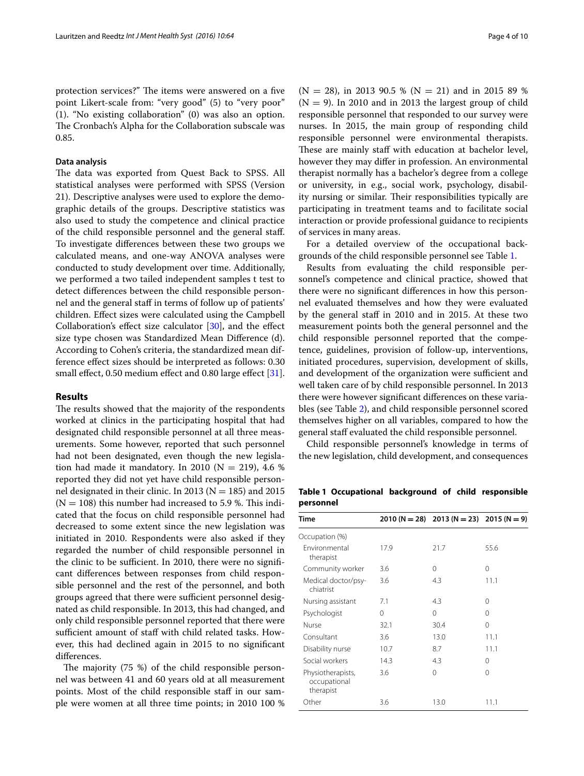#### **Data analysis**

The data was exported from Quest Back to SPSS. All statistical analyses were performed with SPSS (Version 21). Descriptive analyses were used to explore the demographic details of the groups. Descriptive statistics was also used to study the competence and clinical practice of the child responsible personnel and the general staff. To investigate differences between these two groups we calculated means, and one-way ANOVA analyses were conducted to study development over time. Additionally, we performed a two tailed independent samples t test to detect differences between the child responsible personnel and the general staff in terms of follow up of patients' children. Effect sizes were calculated using the Campbell Collaboration's effect size calculator [[30\]](#page-9-5), and the effect size type chosen was Standardized Mean Difference (d). According to Cohen's criteria, the standardized mean difference effect sizes should be interpreted as follows: 0.30 small effect, 0.50 medium effect and 0.80 large effect [\[31](#page-9-6)].

## **Results**

The results showed that the majority of the respondents worked at clinics in the participating hospital that had designated child responsible personnel at all three measurements. Some however, reported that such personnel had not been designated, even though the new legislation had made it mandatory. In 2010 ( $N = 219$ ), 4.6 % reported they did not yet have child responsible personnel designated in their clinic. In 2013 ( $N = 185$ ) and 2015  $(N = 108)$  this number had increased to 5.9 %. This indicated that the focus on child responsible personnel had decreased to some extent since the new legislation was initiated in 2010. Respondents were also asked if they regarded the number of child responsible personnel in the clinic to be sufficient. In 2010, there were no significant differences between responses from child responsible personnel and the rest of the personnel, and both groups agreed that there were sufficient personnel designated as child responsible. In 2013, this had changed, and only child responsible personnel reported that there were sufficient amount of staff with child related tasks. However, this had declined again in 2015 to no significant differences.

The majority (75 %) of the child responsible personnel was between 41 and 60 years old at all measurement points. Most of the child responsible staff in our sample were women at all three time points; in 2010 100 %

 $(N = 28)$ , in 2013 90.5 %  $(N = 21)$  and in 2015 89 %  $(N = 9)$ . In 2010 and in 2013 the largest group of child responsible personnel that responded to our survey were nurses. In 2015, the main group of responding child responsible personnel were environmental therapists. These are mainly staff with education at bachelor level, however they may differ in profession. An environmental therapist normally has a bachelor's degree from a college or university, in e.g., social work, psychology, disability nursing or similar. Their responsibilities typically are participating in treatment teams and to facilitate social interaction or provide professional guidance to recipients of services in many areas.

For a detailed overview of the occupational backgrounds of the child responsible personnel see Table [1](#page-3-0).

Results from evaluating the child responsible personnel's competence and clinical practice, showed that there were no significant differences in how this personnel evaluated themselves and how they were evaluated by the general staff in 2010 and in 2015. At these two measurement points both the general personnel and the child responsible personnel reported that the competence, guidelines, provision of follow-up, interventions, initiated procedures, supervision, development of skills, and development of the organization were sufficient and well taken care of by child responsible personnel. In 2013 there were however significant differences on these variables (see Table [2](#page-4-0)), and child responsible personnel scored themselves higher on all variables, compared to how the general staff evaluated the child responsible personnel.

Child responsible personnel's knowledge in terms of the new legislation, child development, and consequences

<span id="page-3-0"></span>**Table 1 Occupational background of child responsible personnel**

| Time                                           |          | $2010 (N = 28)$ 2013 (N = 23) 2015 (N = 9) |      |
|------------------------------------------------|----------|--------------------------------------------|------|
| Occupation (%)                                 |          |                                            |      |
| Environmental<br>therapist                     | 17.9     | 21.7                                       | 55.6 |
| Community worker                               | 3.6      | 0                                          | 0    |
| Medical doctor/psy-<br>chiatrist               | 3.6      | 4.3                                        | 11.1 |
| Nursing assistant                              | 7.1      | 4.3                                        | 0    |
| Psychologist                                   | $\Omega$ | 0                                          | 0    |
| Nurse                                          | 32.1     | 30.4                                       | 0    |
| Consultant                                     | 3.6      | 13.0                                       | 11.1 |
| Disability nurse                               | 10.7     | 8.7                                        | 11.1 |
| Social workers                                 | 14.3     | 4.3                                        | 0    |
| Physiotherapists,<br>occupational<br>therapist | 3.6      | 0                                          | 0    |
| Other                                          | 3.6      | 13.0                                       | 11.1 |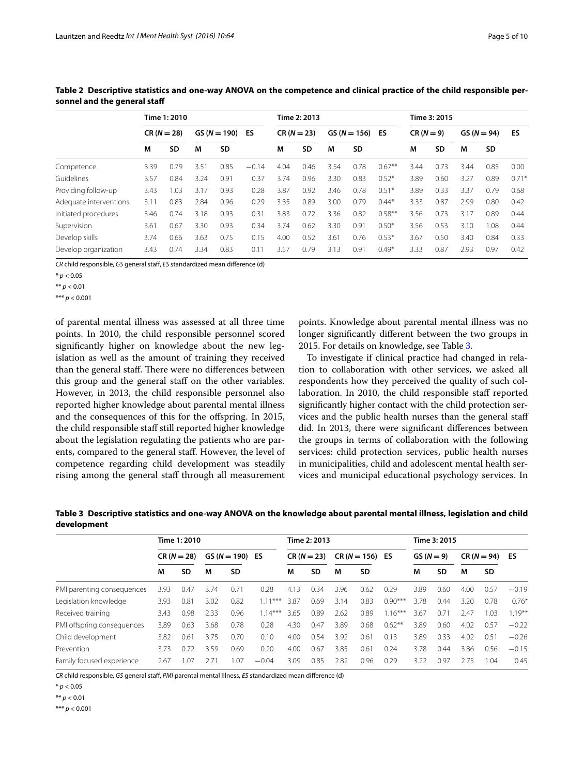|                        | Time 1: 2010  |      |                |           |         |               | Time 2: 2013 |                   |           | Time 3: 2015 |           |      |               |           |         |
|------------------------|---------------|------|----------------|-----------|---------|---------------|--------------|-------------------|-----------|--------------|-----------|------|---------------|-----------|---------|
|                        | $CR (N = 28)$ |      | $GS (N = 190)$ |           | ES      | $CR (N = 23)$ |              | $GS (N = 156)$ ES |           |              | $CR(N=9)$ |      | $GS (N = 94)$ |           | ES      |
|                        | М             | SD   | М              | <b>SD</b> |         | М             | SD           | М                 | <b>SD</b> |              | М         | SD   | М             | <b>SD</b> |         |
| Competence             | 3.39          | 0.79 | 3.51           | 0.85      | $-0.14$ | 4.04          | 0.46         | 3.54              | 0.78      | $0.67***$    | 3.44      | 0.73 | 3.44          | 0.85      | 0.00    |
| Guidelines             | 3.57          | 0.84 | 3.24           | 0.91      | 0.37    | 3.74          | 0.96         | 3.30              | 0.83      | $0.52*$      | 3.89      | 0.60 | 3.27          | 0.89      | $0.71*$ |
| Providing follow-up    | 3.43          | .03  | 3.17           | 0.93      | 0.28    | 3.87          | 0.92         | 3.46              | 0.78      | $0.51*$      | 3.89      | 0.33 | 3.37          | 0.79      | 0.68    |
| Adequate interventions | 3.11          | 0.83 | 2.84           | 0.96      | 0.29    | 3.35          | 0.89         | 3.00              | 0.79      | $0.44*$      | 3.33      | 0.87 | 2.99          | 0.80      | 0.42    |
| Initiated procedures   | 3.46          | 0.74 | 3.18           | 0.93      | 0.31    | 3.83          | 0.72         | 3.36              | 0.82      | $0.58***$    | 3.56      | 0.73 | 3.17          | 0.89      | 0.44    |
| Supervision            | 3.61          | 0.67 | 3.30           | 0.93      | 0.34    | 3.74          | 0.62         | 3.30              | 0.91      | $0.50*$      | 3.56      | 0.53 | 3.10          | .08       | 0.44    |
| Develop skills         | 3.74          | 0.66 | 3.63           | 0.75      | 0.15    | 4.00          | 0.52         | 3.61              | 0.76      | $0.53*$      | 3.67      | 0.50 | 3.40          | 0.84      | 0.33    |
| Develop organization   | 3.43          | 0.74 | 3.34           | 0.83      | 0.11    | 3.57          | 0.79         | 3.13              | 0.91      | $0.49*$      | 3.33      | 0.87 | 2.93          | 0.97      | 0.42    |

<span id="page-4-0"></span>**Table 2 Descriptive statistics and one-way ANOVA on the competence and clinical practice of the child responsible personnel and the general staff**

*CR* child responsible, *GS* general staff, *ES* standardized mean difference (d)

 $* p < 0.05$ 

\*\* *p* < 0.01

\*\*\* *p* < 0.001

of parental mental illness was assessed at all three time points. In 2010, the child responsible personnel scored significantly higher on knowledge about the new legislation as well as the amount of training they received than the general staff. There were no differences between this group and the general staff on the other variables. However, in 2013, the child responsible personnel also reported higher knowledge about parental mental illness and the consequences of this for the offspring. In 2015, the child responsible staff still reported higher knowledge about the legislation regulating the patients who are parents, compared to the general staff. However, the level of competence regarding child development was steadily rising among the general staff through all measurement points. Knowledge about parental mental illness was no longer significantly different between the two groups in 2015. For details on knowledge, see Table [3](#page-4-1).

To investigate if clinical practice had changed in relation to collaboration with other services, we asked all respondents how they perceived the quality of such collaboration. In 2010, the child responsible staff reported significantly higher contact with the child protection services and the public health nurses than the general staff did. In 2013, there were significant differences between the groups in terms of collaboration with the following services: child protection services, public health nurses in municipalities, child and adolescent mental health services and municipal educational psychology services. In

<span id="page-4-1"></span>**Table 3 Descriptive statistics and one-way ANOVA on the knowledge about parental mental illness, legislation and child development**

|                            | Time 1: 2010  |           |                   |      |           |               | Time 2: 2013 |                   | Time 3: 2015 |           |              |               |               |       |           |
|----------------------------|---------------|-----------|-------------------|------|-----------|---------------|--------------|-------------------|--------------|-----------|--------------|---------------|---------------|-------|-----------|
|                            | $CR (N = 28)$ |           | $GS (N = 190)$ ES |      |           | $CR (N = 23)$ |              | $CR (N = 156) ES$ |              |           | $GS (N = 9)$ |               | $CR (N = 94)$ |       | ES        |
|                            | M             | <b>SD</b> | M                 | SD   |           | М             | SD           | М                 | SD           |           | М            | SD            | М             | SD    |           |
| PMI parenting consequences | 3.93          | 0.47      | 3.74              | 0.71 | 0.28      | 4.13          | 0.34         | 3.96              | 0.62         | 0.29      | 3.89         | 0.60          | 4.00          | 0.57  | $-0.19$   |
| Legislation knowledge      | 3.93          | 0.81      | 3.02              | 0.82 | $1.11***$ | 3.87          | 0.69         | 3.14              | 0.83         | $0.90***$ | 3.78         | 0.44          | 3.20          | 0.78  | $0.76*$   |
| Received training          | 3.43          | 0.98      | 2.33              | 0.96 | $1.14***$ | 3.65          | 0.89         | 2.62              | 0.89         | $1.16***$ | 3.67         | $0.7^{\circ}$ | 2.47          | .03   | $1.19***$ |
| PMI offspring consequences | 3.89          | 0.63      | 3.68              | 0.78 | 0.28      | 4.30          | 0.47         | 3.89              | 0.68         | $0.62***$ | 3.89         | 0.60          | 4.02          | 0.57  | $-0.22$   |
| Child development          | 3.82          | 0.61      | 3.75              | 0.70 | 0.10      | 4.00          | 0.54         | 3.92              | 0.61         | 0.13      | 3.89         | 0.33          | 4.02          | 0.51  | $-0.26$   |
| Prevention                 | 373           | 072       | 3.59              | 0.69 | 0.20      | 4.00          | 0.67         | 3.85              | 0.61         | 0.24      | 3.78         | 0.44          | 3.86          | 0.56  | $-0.15$   |
| Family focused experience  | 2.67          | 1.07      | 2.71              | 1.07 | $-0.04$   | 3.09          | 0.85         | 2.82              | 0.96         | 0.29      | 3.22         | 0.97          | 2.75          | l .04 | 0.45      |

*CR* child responsible, *GS* general staff, *PMI* parental mental Illness, *ES* standardized mean difference (d)

\* *p* < 0.05

\*\* *p* < 0.01

\*\*\* *p* < 0.001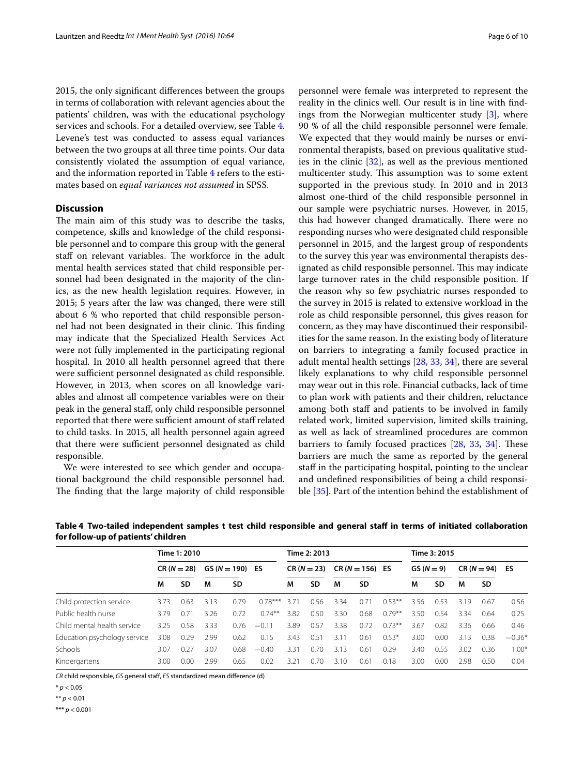2015, the only significant differences between the groups in terms of collaboration with relevant agencies about the patients' children, was with the educational psychology services and schools. For a detailed overview, see Table [4](#page-5-0). Levene's test was conducted to assess equal variances between the two groups at all three time points. Our data consistently violated the assumption of equal variance, and the information reported in Table [4](#page-5-0) refers to the estimates based on *equal variances not assumed* in SPSS.

## **Discussion**

The main aim of this study was to describe the tasks, competence, skills and knowledge of the child responsible personnel and to compare this group with the general staff on relevant variables. The workforce in the adult mental health services stated that child responsible personnel had been designated in the majority of the clinics, as the new health legislation requires. However, in 2015; 5 years after the law was changed, there were still about 6 % who reported that child responsible personnel had not been designated in their clinic. This finding may indicate that the Specialized Health Services Act were not fully implemented in the participating regional hospital. In 2010 all health personnel agreed that there were sufficient personnel designated as child responsible. However, in 2013, when scores on all knowledge variables and almost all competence variables were on their peak in the general staff, only child responsible personnel reported that there were sufficient amount of staff related to child tasks. In 2015, all health personnel again agreed that there were sufficient personnel designated as child responsible.

We were interested to see which gender and occupational background the child responsible personnel had. The finding that the large majority of child responsible personnel were female was interpreted to represent the reality in the clinics well. Our result is in line with findings from the Norwegian multicenter study [[3\]](#page-8-1), where 90 % of all the child responsible personnel were female. We expected that they would mainly be nurses or environmental therapists, based on previous qualitative studies in the clinic [\[32](#page-9-7)], as well as the previous mentioned multicenter study. This assumption was to some extent supported in the previous study. In 2010 and in 2013 almost one-third of the child responsible personnel in our sample were psychiatric nurses. However, in 2015, this had however changed dramatically. There were no responding nurses who were designated child responsible personnel in 2015, and the largest group of respondents to the survey this year was environmental therapists designated as child responsible personnel. This may indicate large turnover rates in the child responsible position. If the reason why so few psychiatric nurses responded to the survey in 2015 is related to extensive workload in the role as child responsible personnel, this gives reason for concern, as they may have discontinued their responsibilities for the same reason. In the existing body of literature on barriers to integrating a family focused practice in adult mental health settings [\[28](#page-9-3), [33,](#page-9-8) [34](#page-9-9)], there are several likely explanations to why child responsible personnel may wear out in this role. Financial cutbacks, lack of time to plan work with patients and their children, reluctance among both staff and patients to be involved in family related work, limited supervision, limited skills training, as well as lack of streamlined procedures are common barriers to family focused practices [[28,](#page-9-3) [33,](#page-9-8) [34](#page-9-9)]. These barriers are much the same as reported by the general staff in the participating hospital, pointing to the unclear and undefined responsibilities of being a child responsible [\[35](#page-9-10)]. Part of the intention behind the establishment of

|                              | Time 1: 2010  |               |                   |      |           |               | Time 2: 2013 |                   |      |           |              | Time 3: 2015 |               |      |          |  |  |
|------------------------------|---------------|---------------|-------------------|------|-----------|---------------|--------------|-------------------|------|-----------|--------------|--------------|---------------|------|----------|--|--|
|                              | $CR (N = 28)$ |               | $GS (N = 190)$ ES |      |           | $CR (N = 23)$ |              | $CR (N = 156) ES$ |      |           | $GS (N = 9)$ |              | $CR (N = 94)$ |      | ES       |  |  |
|                              | M             | SD            | М                 | SD.  |           | М             | SD           | М                 | SD   |           | M            | SD           | M             | SD   |          |  |  |
| Child protection service     | 3.73          | 0.63          | 3.13              | 0.79 | $0.78***$ | 3.71          | 0.56         | 3.34              | 0.71 | $0.53***$ | 3.56         | 0.53         | 3.19          | 0.67 | 0.56     |  |  |
| Public health nurse          | 379           | $0.7^{\circ}$ | 3.26              | 0.72 | $0.74***$ | 3.82          | 0.50         | 3.30              | 0.68 | $0.79***$ | 3.50         | 0.54         | 3.34          | 0.64 | 0.25     |  |  |
| Child mental health service  | 3.25          | 0.58          | 3.33              | 0.76 | $-0.11$   | 3.89          | 0.57         | 3.38              | 0.72 | $0.73***$ | 3.67         | 0.82         | 3.36          | 0.66 | 0.46     |  |  |
| Education psychology service | 3.08          | 0.29          | 2.99              | 0.62 | 0.15      | 3.43          | 0.51         | 3.11              | 0.61 | $0.53*$   | 3.00         | 0.00         | 3.13          | 0.38 | $-0.36*$ |  |  |
| Schools                      | 3.07          | 0.27          | 3.07              | 0.68 | $-0.40$   | 3.31          | 0.70         | 3.13              | 0.61 | 0.29      | 3.40         | 0.55         | 3.02          | 0.36 | $1.00*$  |  |  |
| Kindergartens                | 3.00          | 0.00          | 2.99              | 0.65 | 0.02      | 3.21          | 0.70         | 3.10              | 0.61 | 0.18      | 3.00         | 0.00         | 2.98          | 0.50 | 0.04     |  |  |

<span id="page-5-0"></span>**Table 4 Two-tailed independent samples t test child responsible and general staff in terms of initiated collaboration for follow-up of patients' children**

*CR* child responsible, *GS* general staff, *ES* standardized mean difference (d)

\*\* *p* < 0.01

\*\*\* *p* < 0.001

 $* p < 0.05$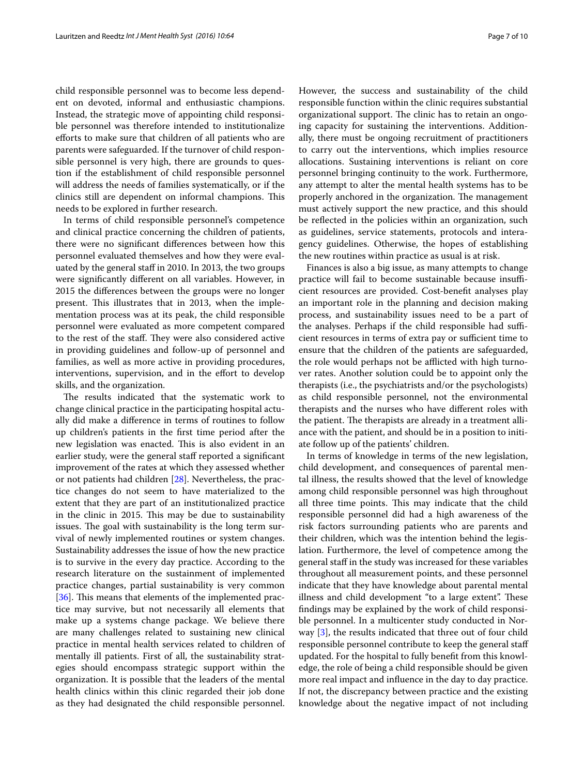child responsible personnel was to become less dependent on devoted, informal and enthusiastic champions. Instead, the strategic move of appointing child responsible personnel was therefore intended to institutionalize efforts to make sure that children of all patients who are parents were safeguarded. If the turnover of child responsible personnel is very high, there are grounds to question if the establishment of child responsible personnel will address the needs of families systematically, or if the clinics still are dependent on informal champions. This needs to be explored in further research.

In terms of child responsible personnel's competence and clinical practice concerning the children of patients, there were no significant differences between how this personnel evaluated themselves and how they were evaluated by the general staff in 2010. In 2013, the two groups were significantly different on all variables. However, in 2015 the differences between the groups were no longer present. This illustrates that in 2013, when the implementation process was at its peak, the child responsible personnel were evaluated as more competent compared to the rest of the staff. They were also considered active in providing guidelines and follow-up of personnel and families, as well as more active in providing procedures, interventions, supervision, and in the effort to develop skills, and the organization.

The results indicated that the systematic work to change clinical practice in the participating hospital actually did make a difference in terms of routines to follow up children's patients in the first time period after the new legislation was enacted. This is also evident in an earlier study, were the general staff reported a significant improvement of the rates at which they assessed whether or not patients had children [[28\]](#page-9-3). Nevertheless, the practice changes do not seem to have materialized to the extent that they are part of an institutionalized practice in the clinic in 2015. This may be due to sustainability issues. The goal with sustainability is the long term survival of newly implemented routines or system changes. Sustainability addresses the issue of how the new practice is to survive in the every day practice. According to the research literature on the sustainment of implemented practice changes, partial sustainability is very common [[36\]](#page-9-11). This means that elements of the implemented practice may survive, but not necessarily all elements that make up a systems change package. We believe there are many challenges related to sustaining new clinical practice in mental health services related to children of mentally ill patients. First of all, the sustainability strategies should encompass strategic support within the organization. It is possible that the leaders of the mental health clinics within this clinic regarded their job done as they had designated the child responsible personnel. However, the success and sustainability of the child responsible function within the clinic requires substantial organizational support. The clinic has to retain an ongoing capacity for sustaining the interventions. Additionally, there must be ongoing recruitment of practitioners to carry out the interventions, which implies resource allocations. Sustaining interventions is reliant on core personnel bringing continuity to the work. Furthermore, any attempt to alter the mental health systems has to be properly anchored in the organization. The management must actively support the new practice, and this should be reflected in the policies within an organization, such as guidelines, service statements, protocols and interagency guidelines. Otherwise, the hopes of establishing the new routines within practice as usual is at risk.

Finances is also a big issue, as many attempts to change practice will fail to become sustainable because insufficient resources are provided. Cost-benefit analyses play an important role in the planning and decision making process, and sustainability issues need to be a part of the analyses. Perhaps if the child responsible had sufficient resources in terms of extra pay or sufficient time to ensure that the children of the patients are safeguarded, the role would perhaps not be afflicted with high turnover rates. Another solution could be to appoint only the therapists (i.e., the psychiatrists and/or the psychologists) as child responsible personnel, not the environmental therapists and the nurses who have different roles with the patient. The therapists are already in a treatment alliance with the patient, and should be in a position to initiate follow up of the patients' children.

In terms of knowledge in terms of the new legislation, child development, and consequences of parental mental illness, the results showed that the level of knowledge among child responsible personnel was high throughout all three time points. This may indicate that the child responsible personnel did had a high awareness of the risk factors surrounding patients who are parents and their children, which was the intention behind the legislation. Furthermore, the level of competence among the general staff in the study was increased for these variables throughout all measurement points, and these personnel indicate that they have knowledge about parental mental illness and child development "to a large extent". These findings may be explained by the work of child responsible personnel. In a multicenter study conducted in Norway [[3\]](#page-8-1), the results indicated that three out of four child responsible personnel contribute to keep the general staff updated. For the hospital to fully benefit from this knowledge, the role of being a child responsible should be given more real impact and influence in the day to day practice. If not, the discrepancy between practice and the existing knowledge about the negative impact of not including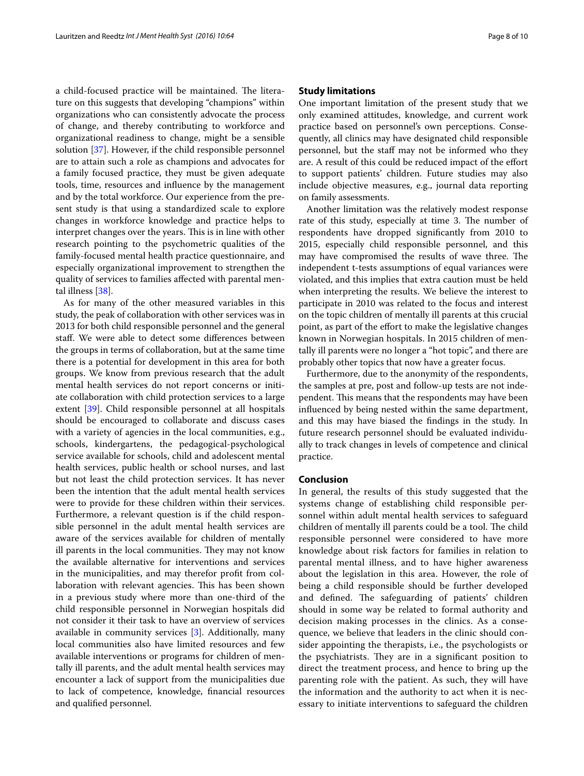a child-focused practice will be maintained. The literature on this suggests that developing "champions" within organizations who can consistently advocate the process of change, and thereby contributing to workforce and organizational readiness to change, might be a sensible solution [[37\]](#page-9-12). However, if the child responsible personnel are to attain such a role as champions and advocates for a family focused practice, they must be given adequate tools, time, resources and influence by the management and by the total workforce. Our experience from the present study is that using a standardized scale to explore changes in workforce knowledge and practice helps to interpret changes over the years. This is in line with other research pointing to the psychometric qualities of the family-focused mental health practice questionnaire, and especially organizational improvement to strengthen the quality of services to families affected with parental mental illness [\[38\]](#page-9-13).

As for many of the other measured variables in this study, the peak of collaboration with other services was in 2013 for both child responsible personnel and the general staff. We were able to detect some differences between the groups in terms of collaboration, but at the same time there is a potential for development in this area for both groups. We know from previous research that the adult mental health services do not report concerns or initiate collaboration with child protection services to a large extent [\[39\]](#page-9-14). Child responsible personnel at all hospitals should be encouraged to collaborate and discuss cases with a variety of agencies in the local communities, e.g., schools, kindergartens, the pedagogical-psychological service available for schools, child and adolescent mental health services, public health or school nurses, and last but not least the child protection services. It has never been the intention that the adult mental health services were to provide for these children within their services. Furthermore, a relevant question is if the child responsible personnel in the adult mental health services are aware of the services available for children of mentally ill parents in the local communities. They may not know the available alternative for interventions and services in the municipalities, and may therefor profit from collaboration with relevant agencies. This has been shown in a previous study where more than one-third of the child responsible personnel in Norwegian hospitals did not consider it their task to have an overview of services available in community services [[3\]](#page-8-1). Additionally, many local communities also have limited resources and few available interventions or programs for children of mentally ill parents, and the adult mental health services may encounter a lack of support from the municipalities due to lack of competence, knowledge, financial resources and qualified personnel.

## **Study limitations**

One important limitation of the present study that we only examined attitudes, knowledge, and current work practice based on personnel's own perceptions. Consequently, all clinics may have designated child responsible personnel, but the staff may not be informed who they are. A result of this could be reduced impact of the effort to support patients' children. Future studies may also include objective measures, e.g., journal data reporting on family assessments.

Another limitation was the relatively modest response rate of this study, especially at time 3. The number of respondents have dropped significantly from 2010 to 2015, especially child responsible personnel, and this may have compromised the results of wave three. The independent t-tests assumptions of equal variances were violated, and this implies that extra caution must be held when interpreting the results. We believe the interest to participate in 2010 was related to the focus and interest on the topic children of mentally ill parents at this crucial point, as part of the effort to make the legislative changes known in Norwegian hospitals. In 2015 children of mentally ill parents were no longer a "hot topic", and there are probably other topics that now have a greater focus.

Furthermore, due to the anonymity of the respondents, the samples at pre, post and follow-up tests are not independent. This means that the respondents may have been influenced by being nested within the same department, and this may have biased the findings in the study. In future research personnel should be evaluated individually to track changes in levels of competence and clinical practice.

### **Conclusion**

In general, the results of this study suggested that the systems change of establishing child responsible personnel within adult mental health services to safeguard children of mentally ill parents could be a tool. The child responsible personnel were considered to have more knowledge about risk factors for families in relation to parental mental illness, and to have higher awareness about the legislation in this area. However, the role of being a child responsible should be further developed and defined. The safeguarding of patients' children should in some way be related to formal authority and decision making processes in the clinics. As a consequence, we believe that leaders in the clinic should consider appointing the therapists, i.e., the psychologists or the psychiatrists. They are in a significant position to direct the treatment process, and hence to bring up the parenting role with the patient. As such, they will have the information and the authority to act when it is necessary to initiate interventions to safeguard the children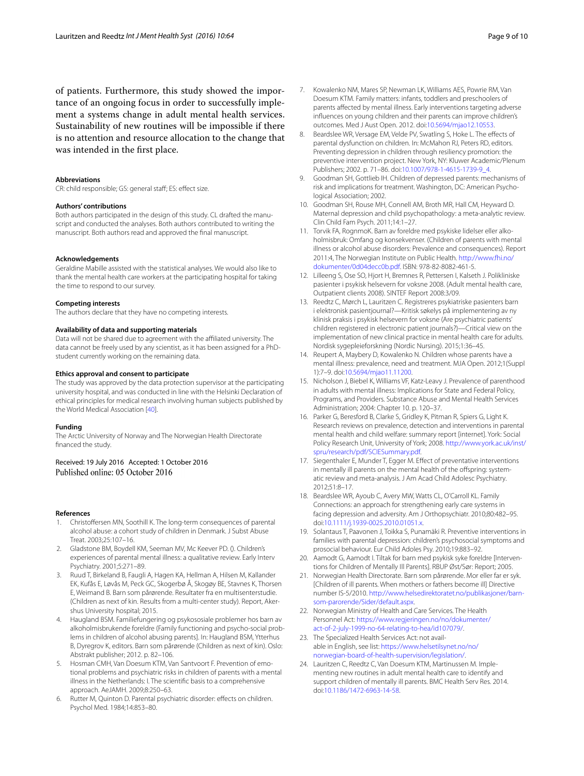of patients. Furthermore, this study showed the importance of an ongoing focus in order to successfully implement a systems change in adult mental health services. Sustainability of new routines will be impossible if there is no attention and resource allocation to the change that was intended in the first place.

#### **Abbreviations**

CR: child responsible; GS: general staff; ES: effect size.

#### **Authors' contributions**

Both authors participated in the design of this study. CL drafted the manuscript and conducted the analyses. Both authors contributed to writing the manuscript. Both authors read and approved the final manuscript.

#### **Acknowledgements**

Geraldine Mabille assisted with the statistical analyses. We would also like to thank the mental health care workers at the participating hospital for taking the time to respond to our survey.

#### **Competing interests**

The authors declare that they have no competing interests.

#### **Availability of data and supporting materials**

Data will not be shared due to agreement with the affiliated university. The data cannot be freely used by any scientist, as it has been assigned for a PhDstudent currently working on the remaining data.

#### **Ethics approval and consent to participate**

The study was approved by the data protection supervisor at the participating university hospital, and was conducted in line with the Helsinki Declaration of ethical principles for medical research involving human subjects published by the World Medical Association [\[40\]](#page-9-15).

#### **Funding**

The Arctic University of Norway and The Norwegian Health Directorate financed the study.

Received: 19 July 2016 Accepted: 1 October 2016 Published online: 05 October 2016

#### **References**

- <span id="page-8-0"></span>1. Christoffersen MN, Soothill K. The long-term consequences of parental alcohol abuse: a cohort study of children in Denmark. J Subst Abuse Treat. 2003;25:107–16.
- 2. Gladstone BM, Boydell KM, Seeman MV, Mc Keever PD. (). Children's experiences of parental mental illness: a qualitative review. Early Interv Psychiatry. 2001;5:271–89.
- <span id="page-8-1"></span>3. Ruud T, Birkeland B, Faugli A, Hagen KA, Hellman A, Hilsen M, Kallander EK, Kufås E, Løvås M, Peck GC, Skogerbø Å, Skogøy BE, Stavnes K, Thorsen E, Weimand B. Barn som pårørende. Resultater fra en multisenterstudie. (Children as next of kin. Results from a multi-center study). Report, Akershus University hospital; 2015.
- <span id="page-8-2"></span>4. Haugland BSM. Familiefungering og psykososiale problemer hos barn av alkoholmisbrukende foreldre (Family functioning and psycho-social problems in children of alcohol abusing parents]. In: Haugland BSM, Ytterhus B, Dyregrov K, editors. Barn som pårørende (Children as next of kin). Oslo: Abstrakt publisher; 2012. p. 82–106.
- <span id="page-8-3"></span>5. Hosman CMH, Van Doesum KTM, Van Santvoort F. Prevention of emotional problems and psychiatric risks in children of parents with a mental illness in the Netherlands: I. The scientific basis to a comprehensive approach. AeJAMH. 2009;8:250–63.
- <span id="page-8-4"></span>6. Rutter M, Quinton D. Parental psychiatric disorder: effects on children. Psychol Med. 1984;14:853–80.
- <span id="page-8-5"></span>7. Kowalenko NM, Mares SP, Newman LK, Williams AES, Powrie RM, Van Doesum KTM. Family matters: infants, toddlers and preschoolers of parents affected by mental illness. Early interventions targeting adverse influences on young children and their parents can improve children's outcomes. Med J Aust Open. 2012. doi:[10.5694/mjao12.10553.](http://dx.doi.org/10.5694/mjao12.10553)
- <span id="page-8-6"></span>8. Beardslee WR, Versage EM, Velde PV, Swatling S, Hoke L. The effects of parental dysfunction on children. In: McMahon RJ, Peters RD, editors. Preventing depression in children through resiliency promotion: the preventive intervention project. New York, NY: Kluwer Academic/Plenum Publishers; 2002. p. 71–86. doi:[10.1007/978-1-4615-1739-9\\_4.](http://dx.doi.org/10.1007/978-1-4615-1739-9_4)
- 9. Goodman SH, Gottlieb IH. Children of depressed parents: mechanisms of risk and implications for treatment. Washington, DC: American Psychological Association; 2002.
- <span id="page-8-7"></span>10. Goodman SH, Rouse MH, Connell AM, Broth MR, Hall CM, Heyward D. Maternal depression and child psychopathology: a meta-analytic review. Clin Child Fam Psych. 2011;14:1–27.
- <span id="page-8-8"></span>11. Torvik FA, RognmoK. Barn av foreldre med psykiske lidelser eller alkoholmisbruk: Omfang og konsekvenser. (Children of parents with mental illness or alcohol abuse disorders: Prevalence and consequences). Report 2011:4, The Norwegian Institute on Public Health. [http://www.fhi.no/](http://www.fhi.no/dokumenter/0d04decc0b.pdf) [dokumenter/0d04decc0b.pdf.](http://www.fhi.no/dokumenter/0d04decc0b.pdf) ISBN: 978-82-8082-461-5.
- <span id="page-8-9"></span>12. Lilleeng S, Ose SO, Hjort H, Bremnes R, Pettersen I, Kalseth J. Polikliniske pasienter i psykisk helsevern for voksne 2008. (Adult mental health care, Outpatient clients 2008). SINTEF Report 2008:3/09.
- <span id="page-8-10"></span>13. Reedtz C, Mørch L, Lauritzen C. Registreres psykiatriske pasienters barn i elektronisk pasientjournal?—Kritisk søkelys på implementering av ny klinisk praksis i psykisk helsevern for voksne (Are psychiatric patients' children registered in electronic patient journals?)—Critical view on the implementation of new clinical practice in mental health care for adults. Nordisk sygepleieforskning (Nordic Nursing). 2015;1:36–45.
- <span id="page-8-11"></span>14. Reupert A, Maybery D, Kowalenko N. Children whose parents have a mental illness: prevalence, need and treatment. MJA Open. 2012;1(Suppl 1):7–9. doi:[10.5694/mjao11.11200.](http://dx.doi.org/10.5694/mjao11.11200)
- 15. Nicholson J, Biebel K, Williams VF, Katz-Leavy J. Prevalence of parenthood in adults with mental illness: Implications for State and Federal Policy, Programs, and Providers. Substance Abuse and Mental Health Services Administration; 2004: Chapter 10. p. 120–37.
- <span id="page-8-12"></span>16. Parker G, Beresford B, Clarke S, Gridley K, Pitman R, Spiers G, Light K. Research reviews on prevalence, detection and interventions in parental mental health and child welfare: summary report [internet]. York: Social Policy Research Unit, University of York; 2008. [http://www.york.ac.uk/inst/](http://www.york.ac.uk/inst/spru/research/pdf/SCIESummary.pdf) [spru/research/pdf/SCIESummary.pdf.](http://www.york.ac.uk/inst/spru/research/pdf/SCIESummary.pdf)
- <span id="page-8-13"></span>17. Siegenthaler E, Munder T, Egger M. Effect of preventative interventions in mentally ill parents on the mental health of the offspring: systematic review and meta-analysis. J Am Acad Child Adolesc Psychiatry. 2012;51:8–17.
- <span id="page-8-14"></span>18. Beardslee WR, Ayoub C, Avery MW, Watts CL, O'Carroll KL. Family Connections: an approach for strengthening early care systems in facing depression and adversity. Am J Orthopsychiatr. 2010;80:482–95. doi:[10.1111/j.1939-0025.2010.01051.x.](http://dx.doi.org/10.1111/j.1939-0025.2010.01051.x)
- <span id="page-8-15"></span>19. Solantaus T, Paavonen J, Toikka S, Punamäki R. Preventive interventions in families with parental depression: children's psychosocial symptoms and prosocial behaviour. Eur Child Adoles Psy. 2010;19:883–92.
- <span id="page-8-16"></span>20. Aamodt G, Aamodt I. Tiltak for barn med psykisk syke foreldre [Interventions for Children of Mentally Ill Parents]. RBUP Øst/Sør: Report; 2005.
- <span id="page-8-17"></span>21. Norwegian Health Directorate. Barn som pårørende. Mor eller far er syk. [Children of ill parents. When mothers or fathers become ill] Directive number IS-5/2010. [http://www.helsedirektoratet.no/publikasjoner/barn](http://www.helsedirektoratet.no/publikasjoner/barn-som-parorende/Sider/default.aspx)[som-parorende/Sider/default.aspx](http://www.helsedirektoratet.no/publikasjoner/barn-som-parorende/Sider/default.aspx).
- <span id="page-8-18"></span>22. Norwegian Ministry of Health and Care Services. The Health Personnel Act: [https://www.regjeringen.no/no/dokumenter/](https://www.regjeringen.no/no/dokumenter/act-of-2-july-1999-no-64-relating-to-hea/id107079/) [act-of-2-july-1999-no-64-relating-to-hea/id107079/](https://www.regjeringen.no/no/dokumenter/act-of-2-july-1999-no-64-relating-to-hea/id107079/).
- <span id="page-8-19"></span>23. The Specialized Health Services Act: not available in English, see list: [https://www.helsetilsynet.no/no/](https://www.helsetilsynet.no/no/norwegian-board-of-health-supervision/legislation/) [norwegian-board-of-health-supervision/legislation/](https://www.helsetilsynet.no/no/norwegian-board-of-health-supervision/legislation/).
- <span id="page-8-20"></span>24. Lauritzen C, Reedtz C, Van Doesum KTM, Martinussen M. Implementing new routines in adult mental health care to identify and support children of mentally ill parents. BMC Health Serv Res. 2014. doi:[10.1186/1472-6963-14-58](http://dx.doi.org/10.1186/1472-6963-14-58).